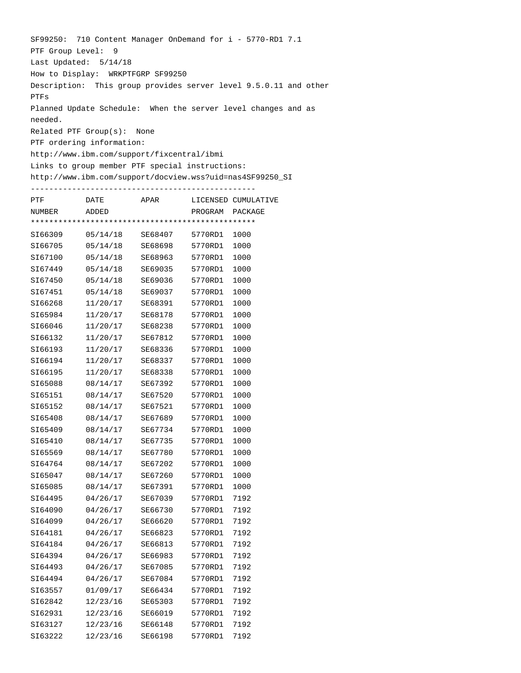SF99250: 710 Content Manager OnDemand for i - 5770-RD1 7.1 PTF Group Level: 9 Last Updated: 5/14/18 How to Display: WRKPTFGRP SF99250 Description: This group provides server level 9.5.0.11 and other PTFs Planned Update Schedule: When the server level changes and as needed. Related PTF Group(s): None PTF ordering information: http://www.ibm.com/support/fixcentral/ibmi Links to group member PTF special instructions: http://www.ibm.com/support/docview.wss?uid=nas4SF99250\_SI ------------------------------------------------- PTF DATE APAR LICENSED CUMULATIVE NUMBER ADDED PROGRAM PACKAGE \*\*\*\*\*\*\*\*\*\*\*\*\*\*\*\*\*\*\*\*\*\*\*\*\*\*\*\*\*\*\*\*\*\*\*\*\*\*\*\*\*\*\*\*\*\*\*\*\* SI66309 05/14/18 SE68407 5770RD1 1000 SI66705 05/14/18 SE68698 5770RD1 1000 SI67100 05/14/18 SE68963 5770RD1 1000 SI67449 05/14/18 SE69035 5770RD1 1000 SI67450 05/14/18 SE69036 5770RD1 1000 SI67451 05/14/18 SE69037 5770RD1 1000 SI66268 11/20/17 SE68391 5770RD1 1000 SI65984 11/20/17 SE68178 5770RD1 1000 SI66046 11/20/17 SE68238 5770RD1 1000 SI66132 11/20/17 SE67812 5770RD1 1000 SI66193 11/20/17 SE68336 5770RD1 1000 SI66194 11/20/17 SE68337 5770RD1 1000 SI66195 11/20/17 SE68338 5770RD1 1000 SI65088 08/14/17 SE67392 5770RD1 1000 SI65151 08/14/17 SE67520 5770RD1 1000 SI65152 08/14/17 SE67521 5770RD1 1000 SI65408 08/14/17 SE67689 5770RD1 1000 SI65409 08/14/17 SE67734 5770RD1 1000 SI65410 08/14/17 SE67735 5770RD1 1000 SI65569 08/14/17 SE67780 5770RD1 1000 SI64764 08/14/17 SE67202 5770RD1 1000 SI65047 08/14/17 SE67260 5770RD1 1000 SI65085 08/14/17 SE67391 5770RD1 1000 SI64495 04/26/17 SE67039 5770RD1 7192 SI64090 04/26/17 SE66730 5770RD1 7192 SI64099 04/26/17 SE66620 5770RD1 7192 SI64181 04/26/17 SE66823 5770RD1 7192 SI64184 04/26/17 SE66813 5770RD1 7192 SI64394 04/26/17 SE66983 5770RD1 7192 SI64493 04/26/17 SE67085 5770RD1 7192 SI64494 04/26/17 SE67084 5770RD1 7192 SI63557 01/09/17 SE66434 5770RD1 7192 SI62842 12/23/16 SE65303 5770RD1 7192 SI62931 12/23/16 SE66019 5770RD1 7192 SI63127 12/23/16 SE66148 5770RD1 7192 SI63222 12/23/16 SE66198 5770RD1 7192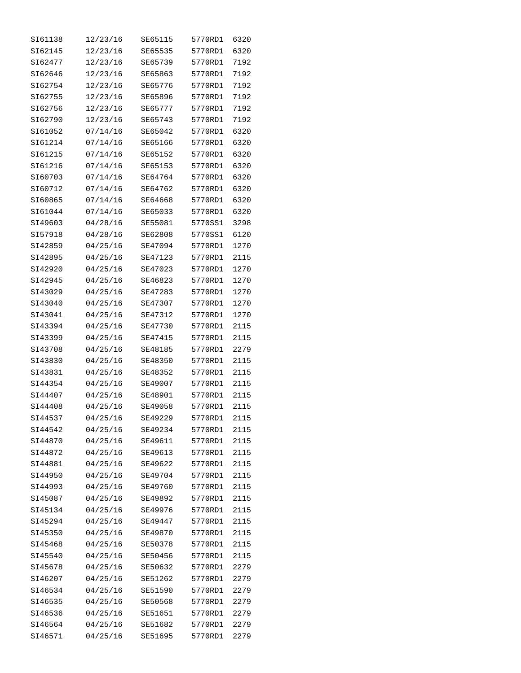| SI61138 | 12/23/16 | SE65115 | 5770RD1 | 6320 |
|---------|----------|---------|---------|------|
| SI62145 | 12/23/16 | SE65535 | 5770RD1 | 6320 |
| SI62477 | 12/23/16 | SE65739 | 5770RD1 | 7192 |
| SI62646 | 12/23/16 | SE65863 | 5770RD1 | 7192 |
| SI62754 | 12/23/16 | SE65776 | 5770RD1 | 7192 |
| SI62755 | 12/23/16 | SE65896 | 5770RD1 | 7192 |
| SI62756 | 12/23/16 | SE65777 | 5770RD1 | 7192 |
| SI62790 | 12/23/16 | SE65743 | 5770RD1 | 7192 |
| SI61052 | 07/14/16 | SE65042 | 5770RD1 | 6320 |
| SI61214 | 07/14/16 | SE65166 | 5770RD1 | 6320 |
| SI61215 | 07/14/16 | SE65152 | 5770RD1 | 6320 |
| SI61216 | 07/14/16 | SE65153 | 5770RD1 | 6320 |
| SI60703 | 07/14/16 | SE64764 | 5770RD1 | 6320 |
| SI60712 | 07/14/16 | SE64762 | 5770RD1 | 6320 |
| SI60865 | 07/14/16 | SE64668 | 5770RD1 | 6320 |
| SI61044 | 07/14/16 | SE65033 | 5770RD1 | 6320 |
| SI49603 | 04/28/16 | SE55081 | 5770SS1 | 3298 |
| SI57918 | 04/28/16 | SE62808 | 5770SS1 | 6120 |
| SI42859 | 04/25/16 | SE47094 | 5770RD1 | 1270 |
| SI42895 | 04/25/16 | SE47123 | 5770RD1 | 2115 |
| SI42920 | 04/25/16 | SE47023 | 5770RD1 | 1270 |
| SI42945 | 04/25/16 | SE46823 | 5770RD1 | 1270 |
| SI43029 | 04/25/16 | SE47283 | 5770RD1 | 1270 |
| SI43040 | 04/25/16 | SE47307 | 5770RD1 | 1270 |
| SI43041 | 04/25/16 | SE47312 | 5770RD1 | 1270 |
| SI43394 | 04/25/16 | SE47730 | 5770RD1 | 2115 |
| SI43399 | 04/25/16 | SE47415 | 5770RD1 | 2115 |
| SI43708 | 04/25/16 | SE48185 | 5770RD1 | 2279 |
| SI43830 | 04/25/16 | SE48350 | 5770RD1 | 2115 |
| SI43831 | 04/25/16 | SE48352 | 5770RD1 | 2115 |
| SI44354 | 04/25/16 | SE49007 | 5770RD1 | 2115 |
| SI44407 | 04/25/16 | SE48901 | 5770RD1 | 2115 |
| SI44408 | 04/25/16 | SE49058 | 5770RD1 | 2115 |
| SI44537 | 04/25/16 | SE49229 | 5770RD1 | 2115 |
| SI44542 | 04/25/16 | SE49234 | 5770RD1 | 2115 |
| SI44870 | 04/25/16 | SE49611 | 5770RD1 | 2115 |
| SI44872 | 04/25/16 | SE49613 | 5770RD1 | 2115 |
| SI44881 | 04/25/16 | SE49622 | 5770RD1 | 2115 |
| SI44950 | 04/25/16 | SE49704 | 5770RD1 | 2115 |
| SI44993 | 04/25/16 | SE49760 | 5770RD1 | 2115 |
| SI45087 | 04/25/16 | SE49892 | 5770RD1 | 2115 |
| SI45134 | 04/25/16 | SE49976 | 5770RD1 | 2115 |
| SI45294 | 04/25/16 | SE49447 | 5770RD1 | 2115 |
| SI45350 | 04/25/16 | SE49870 | 5770RD1 | 2115 |
| SI45468 | 04/25/16 | SE50378 | 5770RD1 | 2115 |
| SI45540 | 04/25/16 | SE50456 | 5770RD1 | 2115 |
| SI45678 | 04/25/16 | SE50632 | 5770RD1 | 2279 |
| SI46207 | 04/25/16 | SE51262 | 5770RD1 | 2279 |
| SI46534 | 04/25/16 | SE51590 | 5770RD1 | 2279 |
| SI46535 | 04/25/16 | SE50568 | 5770RD1 | 2279 |
| SI46536 | 04/25/16 | SE51651 | 5770RD1 | 2279 |
| SI46564 | 04/25/16 | SE51682 | 5770RD1 | 2279 |
| SI46571 | 04/25/16 | SE51695 | 5770RD1 | 2279 |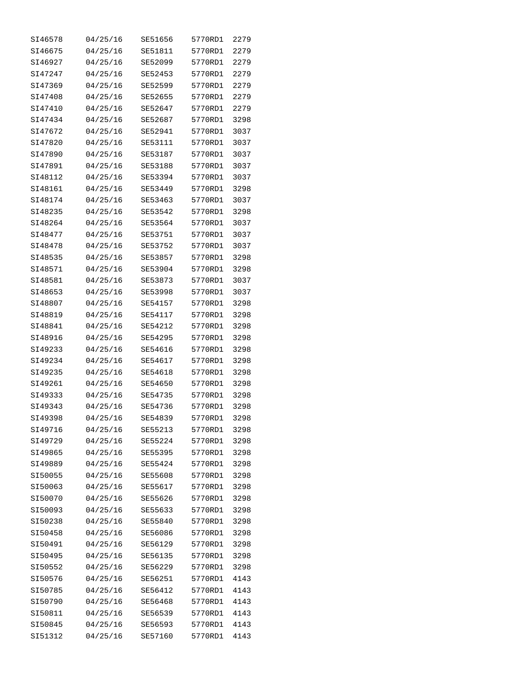| SI46578 | 04/25/16 | SE51656 | 5770RD1 | 2279 |
|---------|----------|---------|---------|------|
| SI46675 | 04/25/16 | SE51811 | 5770RD1 | 2279 |
| SI46927 | 04/25/16 | SE52099 | 5770RD1 | 2279 |
| SI47247 | 04/25/16 | SE52453 | 5770RD1 | 2279 |
| SI47369 | 04/25/16 | SE52599 | 5770RD1 | 2279 |
| SI47408 | 04/25/16 | SE52655 | 5770RD1 | 2279 |
| SI47410 | 04/25/16 | SE52647 | 5770RD1 | 2279 |
| SI47434 | 04/25/16 | SE52687 | 5770RD1 | 3298 |
| SI47672 | 04/25/16 | SE52941 | 5770RD1 | 3037 |
| SI47820 | 04/25/16 | SE53111 | 5770RD1 | 3037 |
| SI47890 | 04/25/16 | SE53187 | 5770RD1 | 3037 |
| SI47891 | 04/25/16 | SE53188 | 5770RD1 | 3037 |
| SI48112 | 04/25/16 | SE53394 | 5770RD1 | 3037 |
| SI48161 | 04/25/16 | SE53449 | 5770RD1 | 3298 |
| SI48174 | 04/25/16 | SE53463 | 5770RD1 | 3037 |
| SI48235 | 04/25/16 | SE53542 | 5770RD1 | 3298 |
| SI48264 | 04/25/16 | SE53564 | 5770RD1 | 3037 |
| SI48477 | 04/25/16 | SE53751 | 5770RD1 | 3037 |
| SI48478 | 04/25/16 | SE53752 | 5770RD1 | 3037 |
| SI48535 | 04/25/16 | SE53857 | 5770RD1 | 3298 |
| SI48571 | 04/25/16 | SE53904 | 5770RD1 | 3298 |
| SI48581 | 04/25/16 | SE53873 | 5770RD1 | 3037 |
| SI48653 | 04/25/16 | SE53998 | 5770RD1 | 3037 |
| SI48807 | 04/25/16 | SE54157 | 5770RD1 | 3298 |
| SI48819 | 04/25/16 | SE54117 | 5770RD1 | 3298 |
| SI48841 | 04/25/16 | SE54212 | 5770RD1 | 3298 |
| SI48916 | 04/25/16 | SE54295 | 5770RD1 | 3298 |
| SI49233 | 04/25/16 | SE54616 | 5770RD1 | 3298 |
| SI49234 | 04/25/16 | SE54617 | 5770RD1 | 3298 |
| SI49235 | 04/25/16 | SE54618 | 5770RD1 | 3298 |
| SI49261 | 04/25/16 | SE54650 | 5770RD1 | 3298 |
| SI49333 | 04/25/16 | SE54735 | 5770RD1 | 3298 |
| SI49343 | 04/25/16 | SE54736 | 5770RD1 | 3298 |
| SI49398 | 04/25/16 | SE54839 | 5770RD1 | 3298 |
| SI49716 | 04/25/16 | SE55213 | 5770RD1 | 3298 |
| SI49729 | 04/25/16 | SE55224 | 5770RD1 | 3298 |
| SI49865 | 04/25/16 | SE55395 | 5770RD1 | 3298 |
| SI49889 | 04/25/16 | SE55424 | 5770RD1 | 3298 |
| SI50055 | 04/25/16 | SE55608 | 5770RD1 | 3298 |
| SI50063 | 04/25/16 | SE55617 | 5770RD1 | 3298 |
| SI50070 | 04/25/16 | SE55626 | 5770RD1 | 3298 |
| SI50093 | 04/25/16 | SE55633 | 5770RD1 | 3298 |
| SI50238 | 04/25/16 | SE55840 | 5770RD1 | 3298 |
| SI50458 | 04/25/16 | SE56086 | 5770RD1 | 3298 |
| SI50491 | 04/25/16 | SE56129 | 5770RD1 | 3298 |
| SI50495 | 04/25/16 | SE56135 | 5770RD1 | 3298 |
| SI50552 | 04/25/16 | SE56229 | 5770RD1 | 3298 |
| SI50576 | 04/25/16 | SE56251 | 5770RD1 | 4143 |
| SI50785 | 04/25/16 | SE56412 | 5770RD1 | 4143 |
| SI50790 | 04/25/16 | SE56468 | 5770RD1 | 4143 |
| SI50811 | 04/25/16 | SE56539 | 5770RD1 | 4143 |
| SI50845 | 04/25/16 | SE56593 | 5770RD1 | 4143 |
| SI51312 | 04/25/16 | SE57160 | 5770RD1 | 4143 |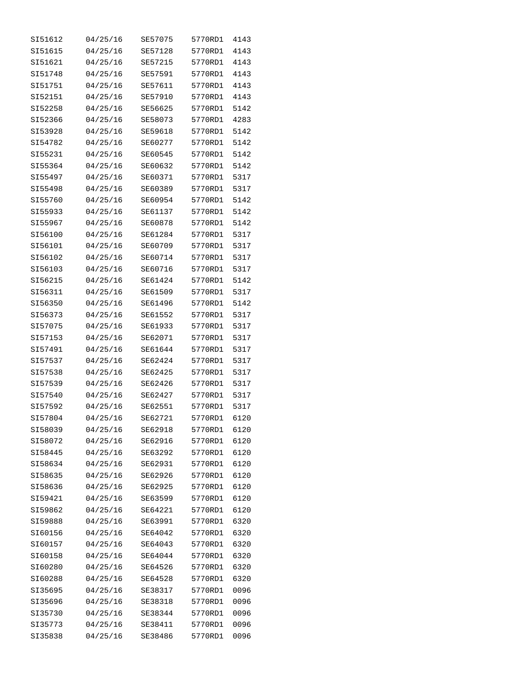| SI51612 | 04/25/16 | SE57075 | 5770RD1 | 4143 |
|---------|----------|---------|---------|------|
| SI51615 | 04/25/16 | SE57128 | 5770RD1 | 4143 |
| SI51621 | 04/25/16 | SE57215 | 5770RD1 | 4143 |
| SI51748 | 04/25/16 | SE57591 | 5770RD1 | 4143 |
| SI51751 | 04/25/16 | SE57611 | 5770RD1 | 4143 |
| SI52151 | 04/25/16 | SE57910 | 5770RD1 | 4143 |
| SI52258 | 04/25/16 | SE56625 | 5770RD1 | 5142 |
| SI52366 | 04/25/16 | SE58073 | 5770RD1 | 4283 |
| SI53928 | 04/25/16 | SE59618 | 5770RD1 | 5142 |
| SI54782 | 04/25/16 | SE60277 | 5770RD1 | 5142 |
| SI55231 | 04/25/16 | SE60545 | 5770RD1 | 5142 |
| SI55364 | 04/25/16 | SE60632 | 5770RD1 | 5142 |
| SI55497 | 04/25/16 | SE60371 | 5770RD1 | 5317 |
| SI55498 | 04/25/16 | SE60389 | 5770RD1 | 5317 |
| SI55760 | 04/25/16 | SE60954 | 5770RD1 | 5142 |
| SI55933 | 04/25/16 | SE61137 | 5770RD1 | 5142 |
| SI55967 | 04/25/16 | SE60878 | 5770RD1 | 5142 |
| SI56100 | 04/25/16 | SE61284 | 5770RD1 | 5317 |
| SI56101 | 04/25/16 | SE60709 | 5770RD1 | 5317 |
| SI56102 | 04/25/16 | SE60714 | 5770RD1 | 5317 |
| SI56103 | 04/25/16 | SE60716 | 5770RD1 | 5317 |
| SI56215 | 04/25/16 | SE61424 | 5770RD1 | 5142 |
| SI56311 | 04/25/16 | SE61509 | 5770RD1 | 5317 |
| SI56350 | 04/25/16 | SE61496 | 5770RD1 | 5142 |
| SI56373 | 04/25/16 | SE61552 | 5770RD1 | 5317 |
| SI57075 | 04/25/16 | SE61933 | 5770RD1 | 5317 |
| SI57153 | 04/25/16 | SE62071 | 5770RD1 | 5317 |
| SI57491 | 04/25/16 | SE61644 | 5770RD1 | 5317 |
| SI57537 | 04/25/16 | SE62424 | 5770RD1 | 5317 |
| SI57538 | 04/25/16 | SE62425 | 5770RD1 | 5317 |
| SI57539 | 04/25/16 | SE62426 | 5770RD1 | 5317 |
| SI57540 | 04/25/16 | SE62427 | 5770RD1 | 5317 |
| SI57592 | 04/25/16 | SE62551 | 5770RD1 | 5317 |
| SI57804 | 04/25/16 | SE62721 | 5770RD1 | 6120 |
| SI58039 | 04/25/16 | SE62918 | 5770RD1 | 6120 |
| SI58072 | 04/25/16 | SE62916 | 5770RD1 | 6120 |
| SI58445 | 04/25/16 | SE63292 | 5770RD1 | 6120 |
| SI58634 | 04/25/16 | SE62931 | 5770RD1 | 6120 |
| SI58635 | 04/25/16 | SE62926 | 5770RD1 | 6120 |
| SI58636 | 04/25/16 | SE62925 | 5770RD1 | 6120 |
| SI59421 | 04/25/16 | SE63599 | 5770RD1 | 6120 |
| SI59862 | 04/25/16 | SE64221 | 5770RD1 | 6120 |
| SI59888 | 04/25/16 | SE63991 | 5770RD1 | 6320 |
| SI60156 | 04/25/16 | SE64042 | 5770RD1 | 6320 |
| SI60157 | 04/25/16 | SE64043 | 5770RD1 | 6320 |
| SI60158 | 04/25/16 | SE64044 | 5770RD1 | 6320 |
| SI60280 | 04/25/16 | SE64526 | 5770RD1 | 6320 |
| SI60288 | 04/25/16 | SE64528 | 5770RD1 | 6320 |
| SI35695 | 04/25/16 | SE38317 | 5770RD1 | 0096 |
| SI35696 | 04/25/16 | SE38318 | 5770RD1 | 0096 |
| SI35730 | 04/25/16 | SE38344 | 5770RD1 | 0096 |
| SI35773 | 04/25/16 | SE38411 | 5770RD1 | 0096 |
| SI35838 | 04/25/16 | SE38486 | 5770RD1 | 0096 |